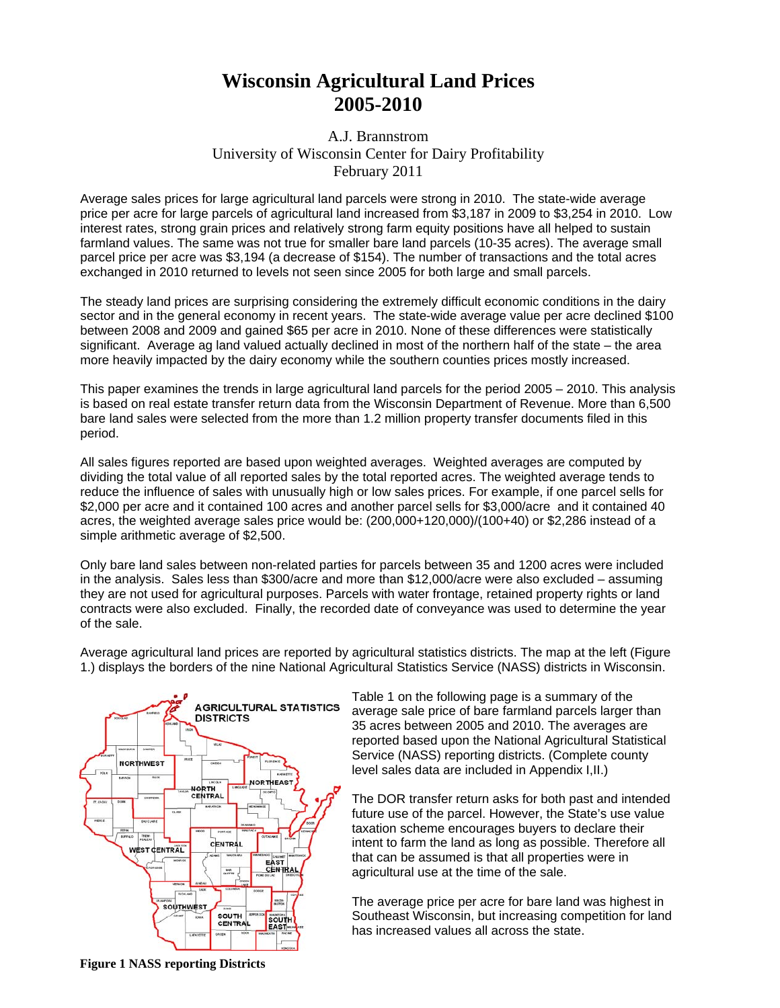## **Wisconsin Agricultural Land Prices 2005-2010**

## A.J. Brannstrom University of Wisconsin Center for Dairy Profitability February 2011

Average sales prices for large agricultural land parcels were strong in 2010. The state-wide average price per acre for large parcels of agricultural land increased from \$3,187 in 2009 to \$3,254 in 2010. Low interest rates, strong grain prices and relatively strong farm equity positions have all helped to sustain farmland values. The same was not true for smaller bare land parcels (10-35 acres). The average small parcel price per acre was \$3,194 (a decrease of \$154). The number of transactions and the total acres exchanged in 2010 returned to levels not seen since 2005 for both large and small parcels.

The steady land prices are surprising considering the extremely difficult economic conditions in the dairy sector and in the general economy in recent years. The state-wide average value per acre declined \$100 between 2008 and 2009 and gained \$65 per acre in 2010. None of these differences were statistically significant. Average ag land valued actually declined in most of the northern half of the state – the area more heavily impacted by the dairy economy while the southern counties prices mostly increased.

This paper examines the trends in large agricultural land parcels for the period 2005 – 2010. This analysis is based on real estate transfer return data from the Wisconsin Department of Revenue. More than 6,500 bare land sales were selected from the more than 1.2 million property transfer documents filed in this period.

All sales figures reported are based upon weighted averages. Weighted averages are computed by dividing the total value of all reported sales by the total reported acres. The weighted average tends to reduce the influence of sales with unusually high or low sales prices. For example, if one parcel sells for \$2,000 per acre and it contained 100 acres and another parcel sells for \$3,000/acre and it contained 40 acres, the weighted average sales price would be: (200,000+120,000)/(100+40) or \$2,286 instead of a simple arithmetic average of \$2,500.

Only bare land sales between non-related parties for parcels between 35 and 1200 acres were included in the analysis. Sales less than \$300/acre and more than \$12,000/acre were also excluded – assuming they are not used for agricultural purposes. Parcels with water frontage, retained property rights or land contracts were also excluded. Finally, the recorded date of conveyance was used to determine the year of the sale.

Average agricultural land prices are reported by agricultural statistics districts. The map at the left (Figure 1.) displays the borders of the nine National Agricultural Statistics Service (NASS) districts in Wisconsin.



Table 1 on the following page is a summary of the average sale price of bare farmland parcels larger than 35 acres between 2005 and 2010. The averages are reported based upon the National Agricultural Statistical Service (NASS) reporting districts. (Complete county level sales data are included in Appendix I,II.)

The DOR transfer return asks for both past and intended future use of the parcel. However, the State's use value taxation scheme encourages buyers to declare their intent to farm the land as long as possible. Therefore all that can be assumed is that all properties were in agricultural use at the time of the sale.

The average price per acre for bare land was highest in Southeast Wisconsin, but increasing competition for land has increased values all across the state.

**Figure 1 NASS reporting Districts**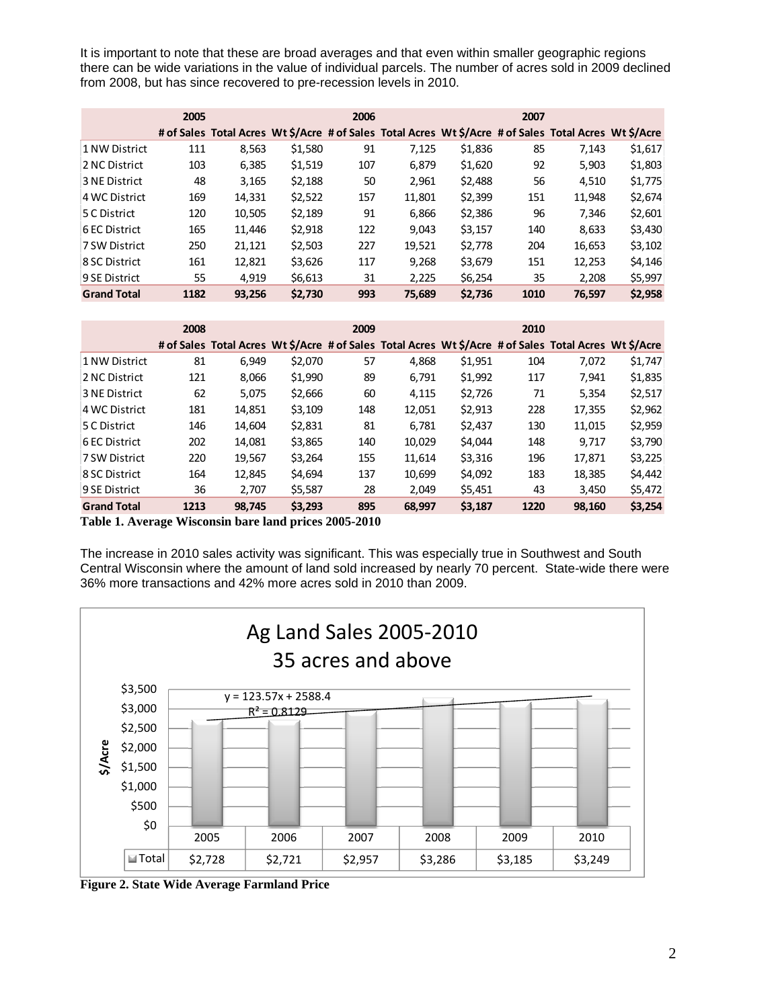It is important to note that these are broad averages and that even within smaller geographic regions there can be wide variations in the value of individual parcels. The number of acres sold in 2009 declined from 2008, but has since recovered to pre-recession levels in 2010.

|                    | 2005 |        |         | 2006 |                                                                                                       |         | 2007 |        |         |
|--------------------|------|--------|---------|------|-------------------------------------------------------------------------------------------------------|---------|------|--------|---------|
|                    |      |        |         |      | # of Sales Total Acres Wt \$/Acre # of Sales Total Acres Wt \$/Acre # of Sales Total Acres Wt \$/Acre |         |      |        |         |
| 1 NW District      | 111  | 8,563  | \$1,580 | 91   | 7,125                                                                                                 | \$1,836 | 85   | 7,143  | \$1,617 |
| 2 NC District      | 103  | 6,385  | \$1,519 | 107  | 6.879                                                                                                 | \$1,620 | 92   | 5,903  | \$1,803 |
| 3 NE District      | 48   | 3,165  | \$2,188 | 50   | 2,961                                                                                                 | \$2,488 | 56   | 4,510  | \$1,775 |
| 4 WC District      | 169  | 14,331 | \$2,522 | 157  | 11,801                                                                                                | \$2,399 | 151  | 11,948 | \$2,674 |
| 5 C District       | 120  | 10,505 | \$2,189 | 91   | 6,866                                                                                                 | \$2,386 | 96   | 7,346  | \$2,601 |
| 6 EC District      | 165  | 11,446 | \$2,918 | 122  | 9.043                                                                                                 | \$3,157 | 140  | 8,633  | \$3,430 |
| 7 SW District      | 250  | 21,121 | \$2,503 | 227  | 19,521                                                                                                | \$2,778 | 204  | 16,653 | \$3,102 |
| 8 SC District      | 161  | 12,821 | \$3,626 | 117  | 9,268                                                                                                 | \$3,679 | 151  | 12,253 | \$4,146 |
| 9 SE District      | 55   | 4.919  | \$6,613 | 31   | 2,225                                                                                                 | \$6,254 | 35   | 2.208  | \$5,997 |
| <b>Grand Total</b> | 1182 | 93.256 | \$2.730 | 993  | 75.689                                                                                                | \$2,736 | 1010 | 76.597 | \$2,958 |

|                    | 2008 |                                                                                                       |         | 2009 |        |         | 2010 |        |         |
|--------------------|------|-------------------------------------------------------------------------------------------------------|---------|------|--------|---------|------|--------|---------|
|                    |      | # of Sales Total Acres Wt \$/Acre # of Sales Total Acres Wt \$/Acre # of Sales Total Acres Wt \$/Acre |         |      |        |         |      |        |         |
| 1 NW District      | 81   | 6.949                                                                                                 | \$2,070 | 57   | 4,868  | \$1,951 | 104  | 7,072  | \$1,747 |
| 2 NC District      | 121  | 8,066                                                                                                 | \$1,990 | 89   | 6,791  | \$1,992 | 117  | 7,941  | \$1,835 |
| 3 NE District      | 62   | 5,075                                                                                                 | \$2,666 | 60   | 4,115  | \$2,726 | 71   | 5,354  | \$2,517 |
| 4 WC District      | 181  | 14,851                                                                                                | \$3,109 | 148  | 12,051 | \$2,913 | 228  | 17,355 | \$2,962 |
| 5 C District       | 146  | 14.604                                                                                                | \$2,831 | 81   | 6,781  | \$2,437 | 130  | 11,015 | \$2,959 |
| 6 EC District      | 202  | 14.081                                                                                                | \$3,865 | 140  | 10.029 | \$4,044 | 148  | 9.717  | \$3,790 |
| 7 SW District      | 220  | 19,567                                                                                                | \$3,264 | 155  | 11,614 | \$3,316 | 196  | 17,871 | \$3,225 |
| 8 SC District      | 164  | 12,845                                                                                                | \$4,694 | 137  | 10,699 | \$4,092 | 183  | 18,385 | \$4,442 |
| 9 SE District      | 36   | 2,707                                                                                                 | \$5,587 | 28   | 2,049  | \$5,451 | 43   | 3,450  | \$5,472 |
| <b>Grand Total</b> | 1213 | 98,745                                                                                                | \$3,293 | 895  | 68,997 | \$3,187 | 1220 | 98,160 | \$3,254 |

**Table 1. Average Wisconsin bare land prices 2005-2010** 

The increase in 2010 sales activity was significant. This was especially true in Southwest and South Central Wisconsin where the amount of land sold increased by nearly 70 percent. State-wide there were 36% more transactions and 42% more acres sold in 2010 than 2009.



**Figure 2. State Wide Average Farmland Price**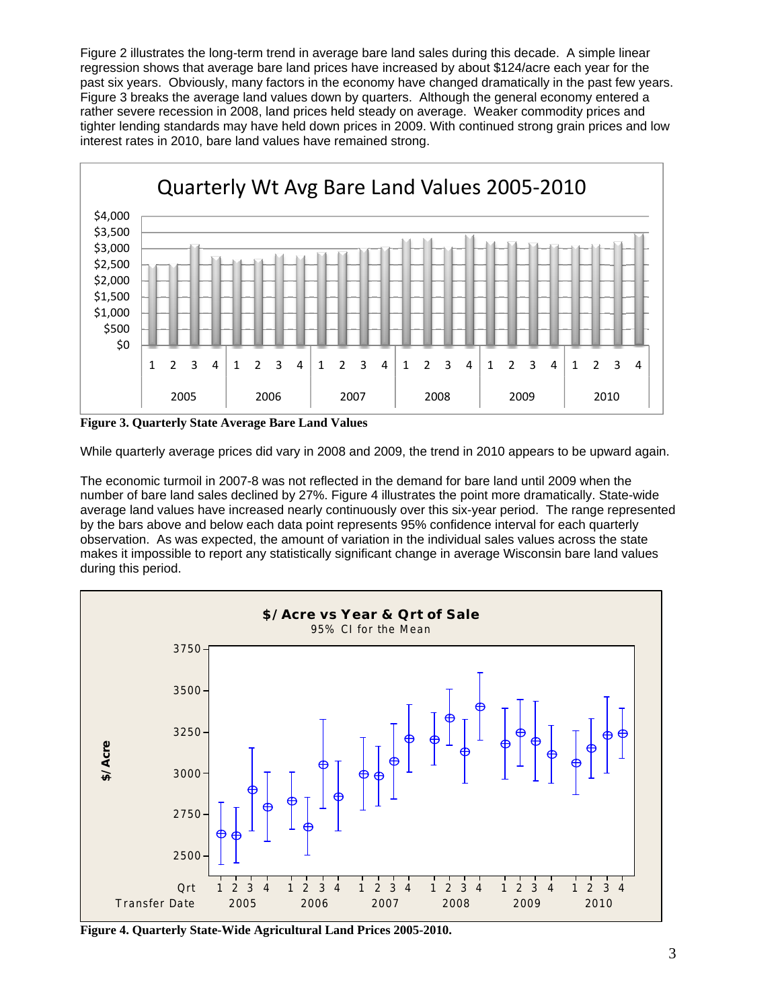Figure 2 illustrates the long-term trend in average bare land sales during this decade. A simple linear regression shows that average bare land prices have increased by about \$124/acre each year for the past six years. Obviously, many factors in the economy have changed dramatically in the past few years. Figure 3 breaks the average land values down by quarters. Although the general economy entered a rather severe recession in 2008, land prices held steady on average. Weaker commodity prices and tighter lending standards may have held down prices in 2009. With continued strong grain prices and low interest rates in 2010, bare land values have remained strong.



**Figure 3. Quarterly State Average Bare Land Values**

While quarterly average prices did vary in 2008 and 2009, the trend in 2010 appears to be upward again.

The economic turmoil in 2007-8 was not reflected in the demand for bare land until 2009 when the number of bare land sales declined by 27%. Figure 4 illustrates the point more dramatically. State-wide average land values have increased nearly continuously over this six-year period. The range represented by the bars above and below each data point represents 95% confidence interval for each quarterly observation. As was expected, the amount of variation in the individual sales values across the state makes it impossible to report any statistically significant change in average Wisconsin bare land values during this period.



**Figure 4. Quarterly State-Wide Agricultural Land Prices 2005-2010.**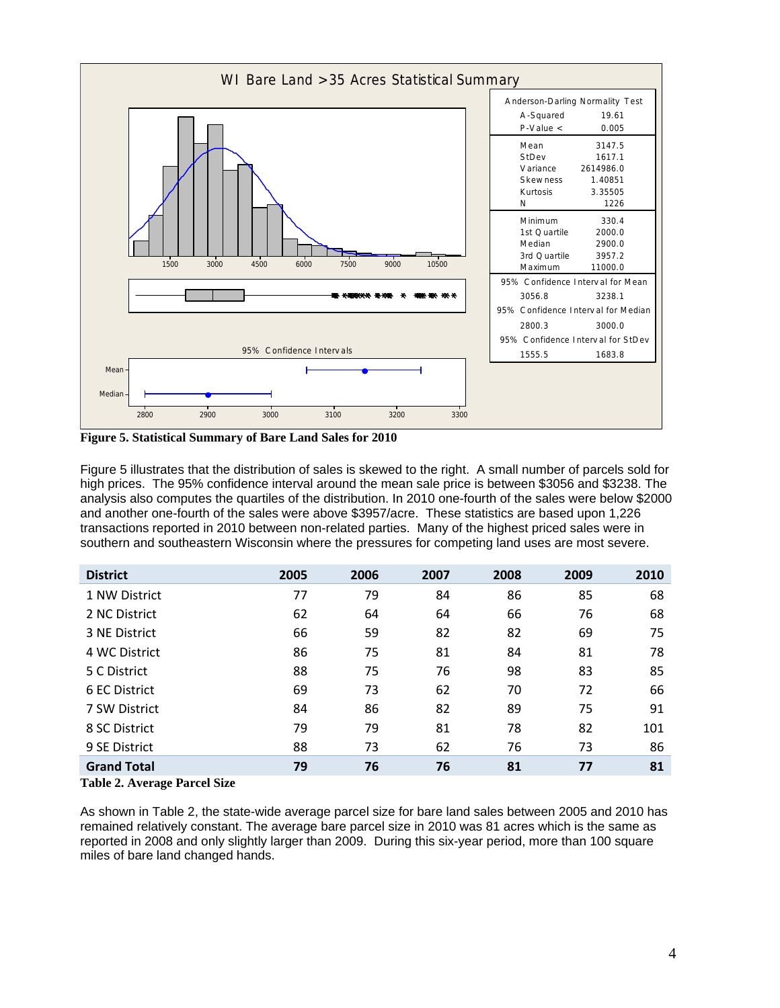

**Figure 5. Statistical Summary of Bare Land Sales for 2010** 

Figure 5 illustrates that the distribution of sales is skewed to the right. A small number of parcels sold for high prices. The 95% confidence interval around the mean sale price is between \$3056 and \$3238. The analysis also computes the quartiles of the distribution. In 2010 one-fourth of the sales were below \$2000 and another one-fourth of the sales were above \$3957/acre. These statistics are based upon 1,226 transactions reported in 2010 between non-related parties. Many of the highest priced sales were in southern and southeastern Wisconsin where the pressures for competing land uses are most severe.

| <b>District</b>    | 2005 | 2006 | 2007 | 2008 | 2009 | 2010 |
|--------------------|------|------|------|------|------|------|
| 1 NW District      | 77   | 79   | 84   | 86   | 85   | 68   |
| 2 NC District      | 62   | 64   | 64   | 66   | 76   | 68   |
| 3 NE District      | 66   | 59   | 82   | 82   | 69   | 75   |
| 4 WC District      | 86   | 75   | 81   | 84   | 81   | 78   |
| 5 C District       | 88   | 75   | 76   | 98   | 83   | 85   |
| 6 EC District      | 69   | 73   | 62   | 70   | 72   | 66   |
| 7 SW District      | 84   | 86   | 82   | 89   | 75   | 91   |
| 8 SC District      | 79   | 79   | 81   | 78   | 82   | 101  |
| 9 SE District      | 88   | 73   | 62   | 76   | 73   | 86   |
| <b>Grand Total</b> | 79   | 76   | 76   | 81   | 77   | 81   |

**Table 2. Average Parcel Size** 

As shown in Table 2, the state-wide average parcel size for bare land sales between 2005 and 2010 has remained relatively constant. The average bare parcel size in 2010 was 81 acres which is the same as reported in 2008 and only slightly larger than 2009. During this six-year period, more than 100 square miles of bare land changed hands.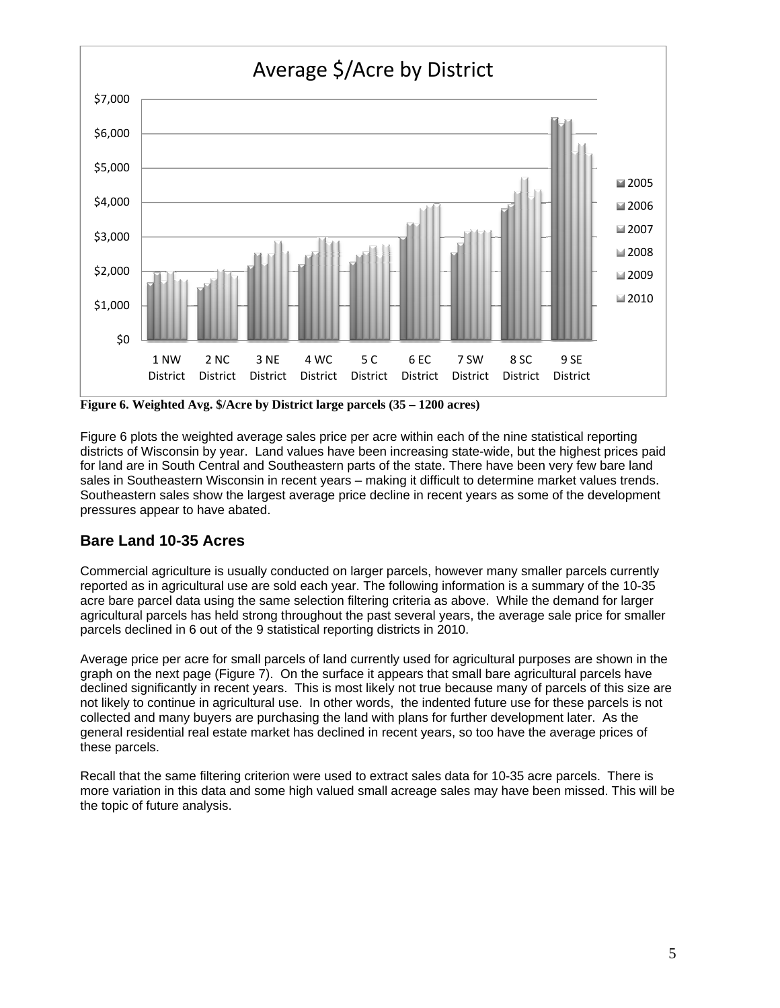

**Figure 6. Weighted Avg. \$/Acre by District large parcels (35 – 1200 acres)** 

Figure 6 plots the weighted average sales price per acre within each of the nine statistical reporting districts of Wisconsin by year. Land values have been increasing state-wide, but the highest prices paid for land are in South Central and Southeastern parts of the state. There have been very few bare land sales in Southeastern Wisconsin in recent years – making it difficult to determine market values trends. Southeastern sales show the largest average price decline in recent years as some of the development pressures appear to have abated.

## **Bare Land 10-35 Acres**

Commercial agriculture is usually conducted on larger parcels, however many smaller parcels currently reported as in agricultural use are sold each year. The following information is a summary of the 10-35 acre bare parcel data using the same selection filtering criteria as above. While the demand for larger agricultural parcels has held strong throughout the past several years, the average sale price for smaller parcels declined in 6 out of the 9 statistical reporting districts in 2010.

Average price per acre for small parcels of land currently used for agricultural purposes are shown in the graph on the next page (Figure 7). On the surface it appears that small bare agricultural parcels have declined significantly in recent years. This is most likely not true because many of parcels of this size are not likely to continue in agricultural use. In other words, the indented future use for these parcels is not collected and many buyers are purchasing the land with plans for further development later. As the general residential real estate market has declined in recent years, so too have the average prices of these parcels.

Recall that the same filtering criterion were used to extract sales data for 10-35 acre parcels. There is more variation in this data and some high valued small acreage sales may have been missed. This will be the topic of future analysis.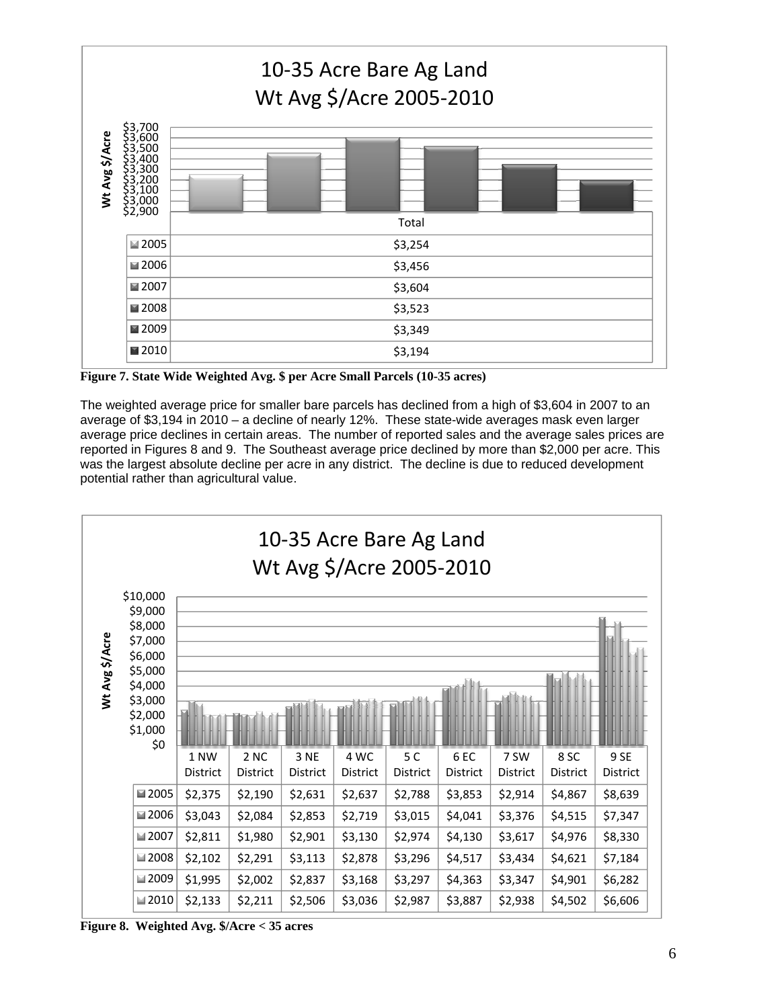

**Figure 7. State Wide Weighted Avg. \$ per Acre Small Parcels (10-35 acres)** 

The weighted average price for smaller bare parcels has declined from a high of \$3,604 in 2007 to an average of \$3,194 in 2010 – a decline of nearly 12%. These state-wide averages mask even larger average price declines in certain areas. The number of reported sales and the average sales prices are reported in Figures 8 and 9. The Southeast average price declined by more than \$2,000 per acre. This was the largest absolute decline per acre in any district. The decline is due to reduced development potential rather than agricultural value.



**Figure 8. Weighted Avg. \$/Acre < 35 acres**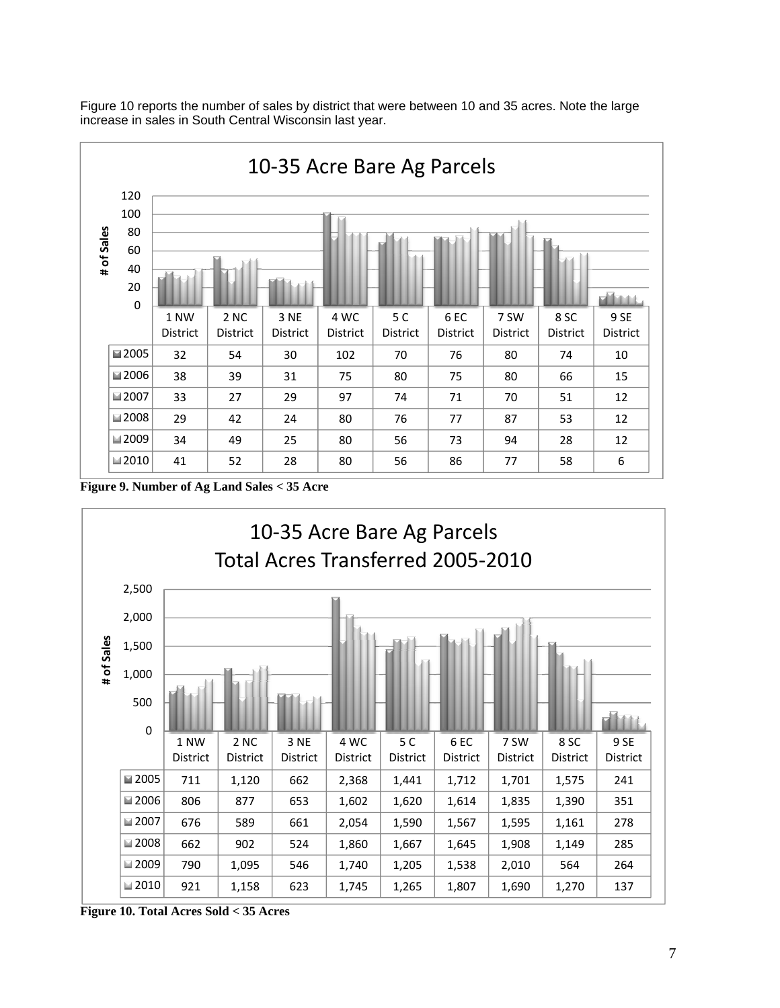

Figure 10 reports the number of sales by district that were between 10 and 35 acres. Note the large increase in sales in South Central Wisconsin last year.

**Figure 9. Number of Ag Land Sales < 35 Acre** 



**Figure 10. Total Acres Sold < 35 Acres**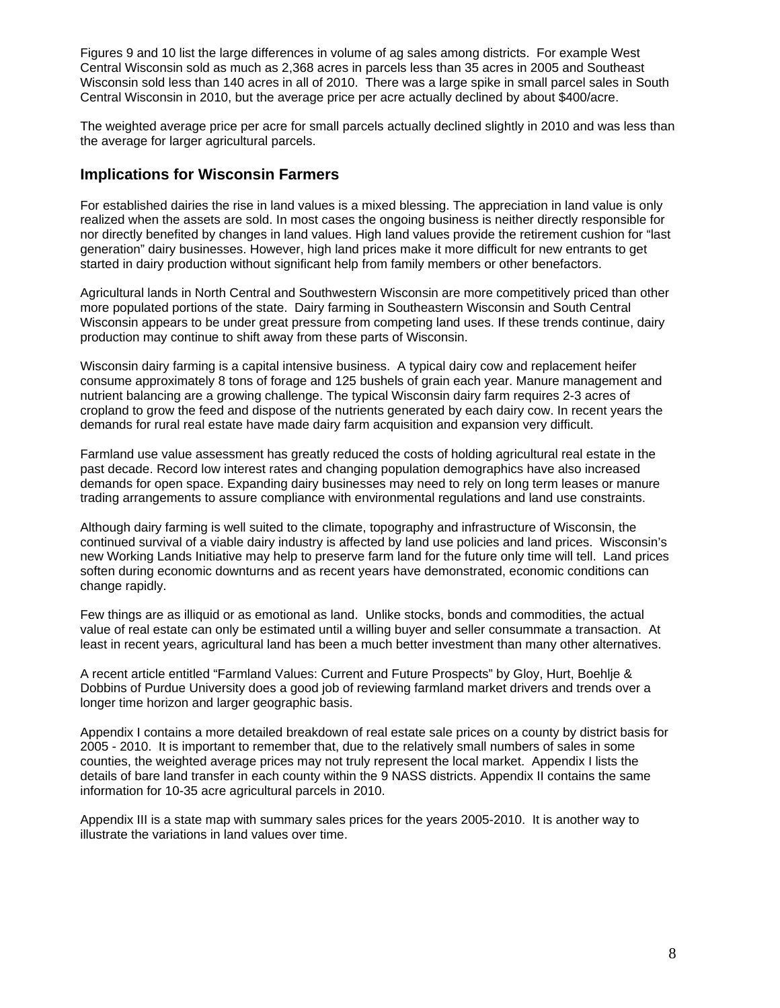Figures 9 and 10 list the large differences in volume of ag sales among districts. For example West Central Wisconsin sold as much as 2,368 acres in parcels less than 35 acres in 2005 and Southeast Wisconsin sold less than 140 acres in all of 2010. There was a large spike in small parcel sales in South Central Wisconsin in 2010, but the average price per acre actually declined by about \$400/acre.

The weighted average price per acre for small parcels actually declined slightly in 2010 and was less than the average for larger agricultural parcels.

## **Implications for Wisconsin Farmers**

For established dairies the rise in land values is a mixed blessing. The appreciation in land value is only realized when the assets are sold. In most cases the ongoing business is neither directly responsible for nor directly benefited by changes in land values. High land values provide the retirement cushion for "last generation" dairy businesses. However, high land prices make it more difficult for new entrants to get started in dairy production without significant help from family members or other benefactors.

Agricultural lands in North Central and Southwestern Wisconsin are more competitively priced than other more populated portions of the state. Dairy farming in Southeastern Wisconsin and South Central Wisconsin appears to be under great pressure from competing land uses. If these trends continue, dairy production may continue to shift away from these parts of Wisconsin.

Wisconsin dairy farming is a capital intensive business. A typical dairy cow and replacement heifer consume approximately 8 tons of forage and 125 bushels of grain each year. Manure management and nutrient balancing are a growing challenge. The typical Wisconsin dairy farm requires 2-3 acres of cropland to grow the feed and dispose of the nutrients generated by each dairy cow. In recent years the demands for rural real estate have made dairy farm acquisition and expansion very difficult.

Farmland use value assessment has greatly reduced the costs of holding agricultural real estate in the past decade. Record low interest rates and changing population demographics have also increased demands for open space. Expanding dairy businesses may need to rely on long term leases or manure trading arrangements to assure compliance with environmental regulations and land use constraints.

Although dairy farming is well suited to the climate, topography and infrastructure of Wisconsin, the continued survival of a viable dairy industry is affected by land use policies and land prices. Wisconsin's new Working Lands Initiative may help to preserve farm land for the future only time will tell. Land prices soften during economic downturns and as recent years have demonstrated, economic conditions can change rapidly.

Few things are as illiquid or as emotional as land. Unlike stocks, bonds and commodities, the actual value of real estate can only be estimated until a willing buyer and seller consummate a transaction. At least in recent years, agricultural land has been a much better investment than many other alternatives.

A recent article entitled "Farmland Values: Current and Future Prospects" by Gloy, Hurt, Boehlje & Dobbins of Purdue University does a good job of reviewing farmland market drivers and trends over a longer time horizon and larger geographic basis.

Appendix I contains a more detailed breakdown of real estate sale prices on a county by district basis for 2005 - 2010. It is important to remember that, due to the relatively small numbers of sales in some counties, the weighted average prices may not truly represent the local market. Appendix I lists the details of bare land transfer in each county within the 9 NASS districts. Appendix II contains the same information for 10-35 acre agricultural parcels in 2010.

Appendix III is a state map with summary sales prices for the years 2005-2010. It is another way to illustrate the variations in land values over time.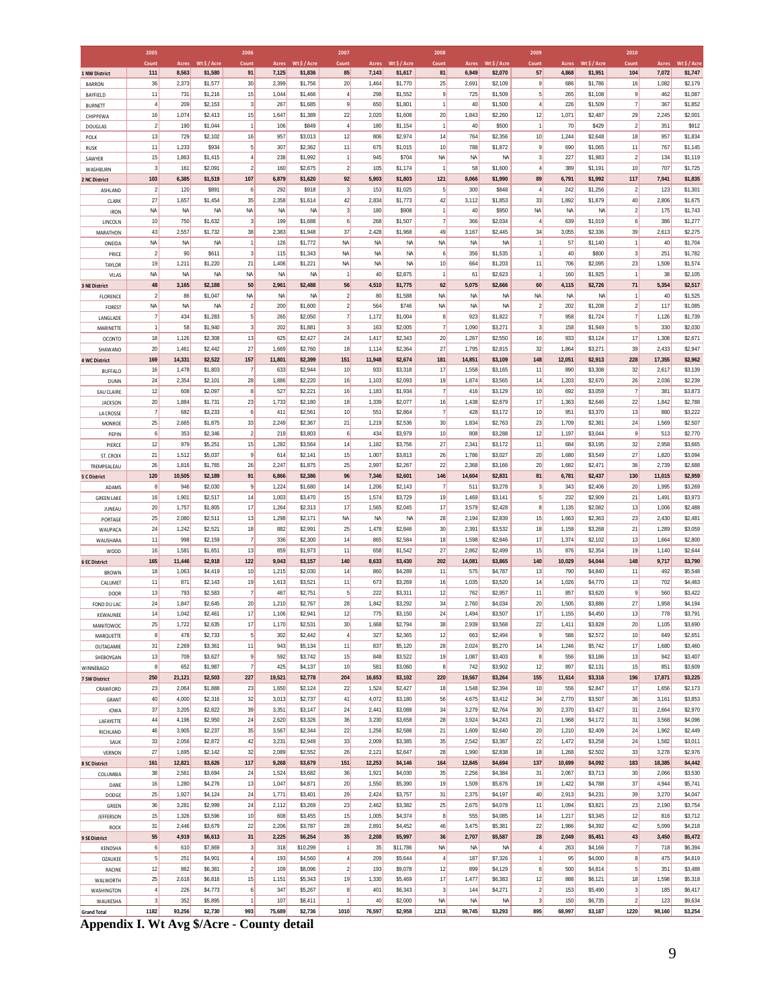<u>Grand Total | 1182| 93,256| \$2,730 993| 75,689| \$2,736 | 1010| 76,597| \$2,958 | 1213| 98,745| \$3,293 | 895| 68,997| \$3,187 | 1220| 98,160| \$3,254<br>Appendix I. Wt Avg \$/Acre - County detail</u>

|                                     | 2005                           |                     |                      | 2006                  |                    |                      | 2007                    |                 |                    | 2008                    |                 |                    | 2009                               |                |                    | 2010               |                 |                    |
|-------------------------------------|--------------------------------|---------------------|----------------------|-----------------------|--------------------|----------------------|-------------------------|-----------------|--------------------|-------------------------|-----------------|--------------------|------------------------------------|----------------|--------------------|--------------------|-----------------|--------------------|
|                                     | Count                          | Acres               | Wt \$ / Acre         | Count                 | <b>Acres</b>       | Wt\$/Acre            | Count                   | Acres           | Wt \$ / Acre       | Count                   | <b>Acres</b>    | Wt \$ / Acre       | Count                              | <b>Acres</b>   | Wt \$ / Acre       | Count              | <b>Acres</b>    | Wt \$ / Acre       |
| 1 NW District                       | 111<br>36                      | 8,563               | \$1,580              | 91<br>30              | 7,125              | \$1,836              | 85<br>20                | 7,143           | \$1,617            | 81                      | 6,949           | \$2,070            | 57                                 | 4,868          | \$1,951            | 104                | 7,072           | \$1,747            |
| <b>BARRON</b><br>BAYFIELD           | 11                             | 2,373<br>731        | \$1,577<br>\$1,216   | 15                    | 2,399<br>1,044     | \$1,756<br>\$1,466   | $\overline{4}$          | 1,464<br>298    | \$1,770<br>\$1,552 | 25<br>9                 | 2,691<br>725    | \$2,109<br>\$1,509 | $\overline{9}$<br>5                | 686<br>265     | \$1,786<br>\$1,108 | 16<br>$\mathbf{g}$ | 1,082<br>462    | \$2,179<br>\$1,087 |
| <b>BURNETT</b>                      | $\overline{4}$                 | 209                 | \$2,153              | $\overline{3}$        | 267                | \$1,685              | $\mathsf{g}$            | 650             | \$1,801            | $\overline{1}$          | 40              | \$1,500            | $\overline{4}$                     | 226            | \$1,509            | $\overline{7}$     | 367             | \$1,852            |
| CHIPPEWA                            | 16                             | 1,074               | \$2,413              | 15                    | 1,647              | \$1,389              | 22                      | 2,020           | \$1,608            | 20                      | 1,843           | \$2,260            | 12                                 | 1,071          | \$2,487            | 29                 | 2,245           | \$2,001            |
| DOUGLAS                             | $\overline{2}$                 | 190                 | \$1,044              | $\vert$               | 106                | \$849                | $\overline{4}$          | 180             | \$1,154            | $\mathbf{1}$            | 40              | \$500              | 1                                  | 70             | \$429              | $\overline{2}$     | 351             | \$912              |
| POLK                                | 13                             | 729                 | \$2,102              | 16                    | 957                | \$3,013              | 12                      | 806             | \$2,974            | 14                      | 764             | \$2,356            | 10                                 | 1,244          | \$2,648            | 18                 | 957             | \$1,834            |
| <b>RUSK</b>                         | 11                             | 1,233               | \$934                | 5                     | 307                | \$2,362              | 11                      | 675             | \$1,015            | 10                      | 788             | \$1,872            | 9                                  | 690            | \$1,065            | 11                 | 767             | \$1,145            |
| SAWYER                              | 15                             | 1,863               | \$1,415              | $\overline{4}$        | 238                | \$1,992              | 1                       | 945             | \$704              | NA                      | <b>NA</b>       | NA                 | $\mathbf{3}$                       | 227            | \$1,983            | $\overline{2}$     | 134             | \$1,119            |
| WASHBURN                            | $\overline{\mathbf{3}}$<br>103 | 161                 | \$2,091              | $\overline{2}$<br>107 | 160                | \$2,675              | $\overline{2}$          | 105             | \$1,174            | $\overline{1}$          | 58              | \$1,600            | $\overline{4}$                     | 389            | \$1,191            | 10<br>$117$        | 707             | \$1,725            |
| 2 NC District<br>ASHLAND            | $\overline{2}$                 | 6,385<br>120        | \$1,519<br>\$891     | 6                     | 6,879<br>292       | \$1,620<br>\$918     | 92<br>3                 | 5,903<br>153    | \$1,803<br>\$1,025 | 121<br>5                | 8,066<br>300    | \$1,990<br>\$848   | 89<br>$\overline{4}$               | 6,791<br>242   | \$1,992<br>\$1,256 | $\overline{2}$     | 7,941<br>123    | \$1,835<br>\$1,301 |
| CLARK                               | 27                             | 1,657               | \$1,454              | 35                    | 2,358              | \$1,614              | 42                      | 2,834           | \$1,773            | 42                      | 3,112           | \$1,853            | 33                                 | 1,892          | \$1,879            | 40                 | 2,806           | \$1,675            |
| <b>IRON</b>                         | <b>NA</b>                      | <b>NA</b>           | NA                   | <b>NA</b>             | <b>NA</b>          | <b>NA</b>            | $\overline{\mathbf{3}}$ | 180             | \$908              | $\overline{1}$          | 40              | \$950              | NA                                 | <b>NA</b>      | NA                 | $\overline{2}$     | 175             | \$1,743            |
| LINCOLN                             | 10 <sup>1</sup>                | 750                 | \$1,632              | $\mathbf{3}$          | 199                | \$1,688              | $6 \mid$                | 268             | \$1,507            | $\overline{7}$          | 366             | \$2,034            | $\vert$                            | 639            | \$1,019            | $6 \overline{6}$   | 386             | \$1,277            |
| MARATHON                            | 43                             | 2,557               | \$1,732              | 38                    | 2,383              | \$1,948              | 37                      | 2,428           | \$1,968            | 49                      | 3,167           | \$2,445            | 34                                 | 3,055          | \$2,336            | 39                 | 2,613           | \$2,275            |
| ONEIDA                              | <b>NA</b>                      | <b>NA</b>           | NA                   |                       | 126                | \$1,772              | NA                      | <b>NA</b>       | NA                 | NA                      | <b>NA</b>       | NA                 | $\mathbf{1}$                       | 57             | \$1,140            | 1                  | 40              | \$1,704            |
| PRICE                               | $\overline{2}$                 | 90                  | \$611                | $\overline{3}$        | 115                | \$1,343              | <b>NA</b>               | <b>NA</b>       | NA                 | 6                       | 356             | \$1,535            | 1                                  | 40             | \$800              | $\overline{3}$     | 251             | \$1,782            |
| TAYLOR                              | 19<br><b>NA</b>                | 1,211<br>NA         | \$1,220<br><b>NA</b> | 21<br><b>NA</b>       | 1,406<br><b>NA</b> | \$1,221<br><b>NA</b> | <b>NA</b><br>1          | <b>NA</b><br>40 | NA<br>\$2,875      | 10<br>$\mathbf{1}$      | 664<br>61       | \$1,203<br>\$2,623 | 11<br>$\vert$                      | 706<br>160     | \$2,095<br>\$1,925 | 23<br>1            | 1,509<br>38     | \$1,574<br>\$2,105 |
| VILAS<br>3 NE District              | 48                             | 3,165               | \$2,188              | 50                    | 2,961              | \$2,488              | 56                      | 4,510           | \$1,775            | 62                      | 5,075           | \$2,666            | 60                                 | 4,115          | \$2,726            | $71$               | 5,354           | \$2,517            |
| <b>FLORENCE</b>                     | $\overline{2}$                 | 86                  | \$1,047              | <b>NA</b>             | <b>NA</b>          | NA                   | $\overline{2}$          | 80              | \$1,588            | NA                      | <b>NA</b>       | ΝA                 | NA                                 | NA             | <b>NA</b>          | 1                  | 40              | \$1,525            |
| <b>FOREST</b>                       | <b>NA</b>                      | NA                  | NA                   | $\overline{2}$        | 200                | \$1,600              | $\overline{2}$          | 564             | \$746              | NA                      | <b>NA</b>       | <b>NA</b>          | $\overline{2}$                     | 202            | \$1,208            | $\overline{2}$     | 117             | \$1,085            |
| LANGLADE                            | 7                              | 434                 | \$1,283              | $\sqrt{5}$            | 265                | \$2,050              | $\overline{7}$          | 1,172           | \$1,004            | 8                       | 923             | \$1,822            | $\overline{7}$                     | 958            | \$1,724            | $\overline{7}$     | 1,126           | \$1,739            |
| MARINETTE                           | $\vert$                        | 58                  | \$1,940              | $\overline{3}$        | 202                | \$1,881              | $\overline{\mathbf{3}}$ | 163             | \$2,005            | $\overline{7}$          | 1,090           | \$3,271            | $\mathbf{3}$                       | 158            | \$1,949            | 5 <sup>1</sup>     | 330             | \$2,030            |
| <b>OCONTO</b>                       | 18                             | 1,126               | \$2,308              | 13                    | 625                | \$2,427              | 24                      | 1,417           | \$2,343            | 20                      | 1,267           | \$2,550            | 16                                 | 933            | \$3,124            | 17                 | 1,308           | \$2,671            |
| SHAWANO                             | 20                             | 1,461               | \$2,442              | 27                    | 1,669              | \$2,760              | 18                      | 1,114           | \$2,364            | 27                      | 1,795           | \$2,815            | 32                                 | 1,864          | \$3,271            | 39                 | 2,433           | \$2,947            |
| <b>4 WC District</b>                | 169<br>16                      | 14,331<br>1,478     | \$2,522<br>\$1,803   | 157<br>$\overline{7}$ | 11,801<br>633      | \$2,399<br>\$2,944   | 151<br>10 <sup>°</sup>  | 11,948<br>933   | \$2,674<br>\$3,318 | 181<br>17               | 14,851          | \$3,109            | 148<br>11                          | 12,051<br>890  | \$2,913            | 228<br>32          | 17,355<br>2,617 | \$2,962<br>\$3,139 |
| <b>BUFFALO</b><br>DUNN              | 24                             | 2,354               | \$2,101              | 28                    | 1,886              | \$2,220              | 16                      | 1,103           | \$2,093            | 19                      | 1,558<br>1,874  | \$3,165<br>\$3,565 | 14                                 | 1,203          | \$3,308<br>\$2,670 | 26                 | 2,036           | \$2,239            |
| EAU CLAIRE                          | 12                             | 608                 | \$2,097              | 8                     | 527                | \$2,221              | 16                      | 1,183           | \$1,934            | $\overline{7}$          | 416             | \$3,129            | 10                                 | 692            | \$3,059            | $\overline{7}$     | 381             | \$3,873            |
| JACKSON                             | 20                             | 1,884               | \$1,731              | 23                    | 1,733              | \$2,180              | 18                      | 1,339           | \$2,077            | 16                      | 1,438           | \$2,679            | 17                                 | 1,363          | \$2,646            | 22                 | 1,842           | \$2,788            |
| LA CROSSE                           | 7                              | 682                 | \$3,233              | 6                     | 411                | \$2,561              | 10                      | 551             | \$2,864            | $\overline{7}$          | 428             | \$3,172            | 10                                 | 951            | \$3,370            | 13                 | 880             | \$3,222            |
| MONROE                              | 25                             | 2,665               | \$1,875              | 33                    | 2,249              | \$2,367              | 21                      | 1,219           | \$2,536            | 30                      | 1,834           | \$2,763            | 23                                 | 1,709          | \$2,381            | 24                 | 1,569           | \$2,507            |
| PEPIN                               | 6                              | 353                 | \$2,346              | $\overline{2}$        | 219                | \$3,803              | 6                       | 434             | \$3,979            | 10                      | 808             | \$3,288            | 12                                 | 1,197          | \$3,044            | 9                  | 513             | \$2,770            |
| PIERCE                              | 12                             | 979                 | \$5,251              | 15                    | 1,282              | \$3,564              | 14                      | 1,182           | \$3,756            | 27                      | 2,341           | \$3,172            | 11                                 | 684            | \$3,195            | 32                 | 2,958           | \$3,665            |
| ST. CROIX                           | 21<br>26                       | 1,512               | \$5,037              | $\overline{9}$<br>26  | 614                | \$2,141              | 15<br>25                | 1,007           | \$3,813            | 26<br>22                | 1,786           | \$3,027            | 20 <sub>2</sub><br>20 <sub>2</sub> | 1,680          | \$3,549            | 27<br>36           | 1,820           | \$3,094            |
| TREMPEALEAU<br>5 C District         | 120                            | 1,816<br>10,505     | \$1,765<br>\$2,189   | 91                    | 2,247<br>6,866     | \$1,875<br>\$2,386   | 96                      | 2,997<br>7,346  | \$2,267<br>\$2,601 | 146                     | 2,368<br>14,604 | \$3,166<br>\$2,831 | 81                                 | 1,682<br>6,781 | \$2,471<br>\$2,437 | 130                | 2,739<br>11,015 | \$2,688<br>\$2,959 |
| ADAMS                               | $\boldsymbol{8}$               | 946                 | \$2,030              | $\overline{9}$        | 1,224              | \$1,680              | 14                      | 1,206           | \$2,143            | $\overline{7}$          | 511             | \$3,278            | $\mathbf{3}$                       | 343            | \$2,406            | 20                 | 1,995           | \$3,269            |
| <b>GREEN LAKE</b>                   | 16                             | 1,901               | \$2,517              | 14                    | 1,003              | \$3,470              | 15                      | 1,574           | \$3,729            | 19                      | 1,469           | \$3,141            | 5 <sup>1</sup>                     | 232            | \$2,909            | 21                 | 1,491           | \$3,973            |
| JUNEAU                              | 20                             | 1,757               | \$1,805              | 17                    | 1,264              | \$2,313              | 17                      | 1,565           | \$2,045            | 17                      | 3,579           | \$2,428            | 8                                  | 1,135          | \$2,082            | 13                 | 1,006           | \$2,488            |
| PORTAGE                             | 25                             | 2,080               | \$2,511              | 13                    | 1,298              | \$2,171              | <b>NA</b>               | <b>NA</b>       | NA                 | 28                      | 2,194           | \$2,839            | 15                                 | 1,663          | \$2,363            | 23                 | 2,430           | \$2,481            |
| WAUPACA                             | 24                             | 1,242               | \$2,521              | 18                    | 882                | \$2,991              | 25                      | 1,478           | \$2,846            | 30                      | 2,391           | \$3,532            | 18                                 | 1,158          | \$3,268            | 21                 | 1,289           | \$3,059            |
| WAUSHARA                            | 11                             | 998                 | \$2,159              | $\overline{7}$        | 336                | \$2,300              | 14                      | 865             | \$2,584            | 18                      | 1,598           | \$2,846            | 17                                 | 1,374          | \$2,102            | 13                 | 1,664           | \$2,800            |
| <b>WOOD</b><br><b>6 EC District</b> | 16<br>165                      | 1,581<br>11,446     | \$1,651<br>\$2,918   | 13<br>122             | 859<br>9,043       | \$1,973<br>\$3,157   | 11<br>140               | 658<br>8,633    | \$1,542<br>\$3,430 | 27<br>202               | 2,862<br>14,081 | \$2,499<br>\$3,865 | 15<br>140                          | 876<br>10,029  | \$2,354<br>\$4,044 | 19<br>148          | 1,140<br>9,717  | \$2,644<br>\$3,790 |
| <b>BROWN</b>                        | 18                             | 1,063               | \$4,419              | 10                    | 1,215              | \$2,030              | 14                      | 860             | \$4,289            | 11                      | 575             | \$4,787            | 13                                 | 790            | \$4,840            | 11                 | 492             | \$5,548            |
| CALUMET                             | 11                             | 871                 | \$2,143              | 19                    | 1,613              | \$3,521              | 11                      | 673             | \$3,269            | 16                      | 1,035           | \$3,520            | 14                                 | 1,026          | \$4,770            | 13                 | 702             | \$4,463            |
| <b>DOOR</b>                         | 13                             | 793                 | \$2,583              | $\overline{7}$        | 467                | \$2,751              | 5 <sup>1</sup>          | 222             | \$3,311            | 12                      | 762             | \$2,957            | 11                                 | 857            | \$3,620            | $\mathbf{g}$       | 560             | \$3,422            |
| FOND DU LAC                         | 24                             | 1,847               | \$2,645              | 20                    | 1,210              | \$2,767              | 28                      | 1,842           | \$3,292            | 34                      | 2,760           | \$4,034            | 20                                 | 1,505          | \$3,886            | 27                 | 1,958           | \$4,194            |
| KEWAUNEE                            | 14                             | 1,042               | \$2,461              | 17                    | 1,106              | \$2,941              | 12                      | 775             | \$3,150            | 24                      | 1,494           | \$3,507            | 17                                 | 1,155          | \$4,450            | 13                 | 778             | \$3,791            |
| MANITOWOC                           | 25                             | 1,722               | \$2,635              | 17                    | 1,170              | \$2,531              | 30                      | 1,668           | \$2,794            | 38                      | 2,939           | \$3,568            | 22                                 | 1,411          | \$3,828            | 20                 | 1,105           | \$3,690            |
| MARQUETTE                           | 8 <sup>1</sup><br>31           | 478<br>2,269        | \$2,733              | $\sqrt{5}$<br>11      | 302<br>943         | \$2,442              | $\vert$<br>11           | 327<br>837      | \$2,365            | 12<br>28                | 663             | \$2,494            | $\mathbf{9}$<br>14                 | 586            | \$2,572            | 10<br>17           | 649             | \$2,651            |
| OUTAGAMIE<br>SHEBOYGAN              | 13                             | 709                 | \$3,361<br>\$3,627   | $\mathsf g$           | 592                | \$5,134<br>\$3,742   | 15                      | 848             | \$5,120<br>\$3,522 | 19                      | 2,024<br>1,087  | \$5,270<br>\$3,403 | 8 <sup>1</sup>                     | 1,246<br>556   | \$5,742<br>\$3,186 | 13                 | 1,680<br>942    | \$3,460<br>\$3,407 |
| WINNEBAGO                           | 8                              | 652                 | \$1,987              | $\overline{7}$        | 425                | \$4,137              | 10                      | 581             | \$3,060            | 8                       | 742             | \$3,902            | 12                                 | 897            | \$2,131            | 15                 | 851             | \$3,609            |
| 7 SW District                       | 250                            | 21,121              | \$2,503              | 227                   | 19,521             | \$2,778              | 204                     | 16,653          | \$3,102            | 220                     | 19,567          | \$3,264            | 155                                | 11,614         | \$3,316            | 196                | 17,871          | \$3,225            |
| CRAWFORD                            | 23                             | 2,064               | \$1,888              | 23                    | 1,650              | \$2,124              | 22                      | 1,524           | \$2,427            | 18                      | 1,548           | \$2,394            | 10                                 | 556            | \$2,847            | 17                 | 1,656           | \$2,173            |
| GRANT                               | 40                             | 4,000               | \$2,316              | 32                    | 3,013              | \$2,737              | 41                      | 4,072           | \$3,180            | 56                      | 4,675           | \$3,412            | 34                                 | 2,770          | \$3,507            | 36                 | 3,161           | \$3,853            |
| IOWA                                | 37                             | 3,205               | \$2,822              | 39                    | 3,351              | \$3,147              | 24                      | 2,441           | \$3,088            | 34                      | 3,279           | \$2,764            | 30 <sub>2</sub>                    | 2,370          | \$3,427            | 31                 | 2,664           | \$2,970            |
| LAFAYETTE                           | 44                             | 4,196               | \$2,950              | 24                    | 2,620              | \$3,326              | 36                      | 3,230           | \$3,658            | 28                      | 3,924           | \$4,243            | 21                                 | 1,968          | \$4,172            | 31                 | 3,568           | \$4,096            |
| RICHLAND                            | 46<br>33                       | 3,905<br>2,056      | \$2,237<br>\$2,872   | 35<br>42              | 3,567<br>3,231     | \$2,344<br>\$2,949   | 22<br>33                | 1,256<br>2,009  | \$2,586<br>\$3,385 | 21<br>35                | 1,609<br>2,542  | \$2,640<br>\$3,387 | 20 <sub>2</sub><br>22              | 1,210<br>1,472 | \$2,409<br>\$3,258 | 24<br>24           | 1,962<br>1,582  | \$2,449<br>\$3,011 |
| SAUK<br>VERNON                      | 27                             | 1,695               | \$2,142              | 32                    | 2,089              | \$2,552              | 26                      | 2,121           | \$2,647            | 28                      | 1,990           | \$2,838            | 18                                 | 1,268          | \$2,502            | 33                 | 3,278           | \$2,976            |
| 8 SC District                       | 161                            | 12,821              | \$3,626              | 117                   | 9,268              | \$3,679              | 151                     | 12,253          | \$4,146            | 164                     | 12,845          | \$4,694            | 137                                | 10,699         | \$4,092            | 183                | 18,385          | \$4,442            |
| COLUMBIA                            | 38                             | 2,561               | \$3,694              | 24                    | 1,524              | \$3,682              | 36                      | 1,921           | \$4,030            | 35                      | 2,256           | \$4,384            | 31                                 | 2,067          | \$3,713            | 30                 | 2,066           | \$3,530            |
| DANE                                | 16                             | 1,280               | \$4,276              | 13                    | 1,047              | \$4,871              | 20                      | 1,550           | \$5,390            | 19                      | 1,509           | \$5,676            | 19                                 | 1,422          | \$4,788            | 37                 | 4,944           | \$5,741            |
| DODGE                               | 25                             | 1,927               | \$4,124              | 24                    | 1,771              | \$3,401              | 29                      | 2,424           | \$3,757            | 31                      | 2,375           | \$4,197            | 40                                 | 2,913          | \$4,231            | 39                 | 3,270           | \$4,047            |
| GREEN                               | 36                             | 3,281               | \$2,999              | 24                    | 2,112              | \$3,269              | 23                      | 2,462           | \$3,382            | 25                      | 2,675           | \$4,078            | 11                                 | 1,094          | \$3,821            | 23                 | 2,190           | \$3,754            |
| JEFFERSON                           | 15                             | 1,326               | \$3,596              | 10                    | 608                | \$3,455              | 15                      | 1,005           | \$4,374            | 8                       | 555             | \$4,085            | 14                                 | 1,217          | \$3,345            | 12                 | 816             | \$3,712            |
| ROCK                                | 31<br>55                       | 2,446<br>4,919      | \$3,679<br>\$6,613   | $22\,$<br>31          | 2,206<br>2,225     | \$3,787<br>\$6,254   | 28<br>35                | 2,891<br>2,208  | \$4,452<br>\$5,997 | 46<br>36                | 3,475<br>2,707  | \$5,381<br>\$5,587 | 22<br>28                           | 1,986<br>2,049 | \$4,392<br>\$5,451 | 42<br>43           | 5,099<br>3,450  | \$4,218<br>\$5,472 |
| 9 SE District<br>KENOSHA            | 6                              | 610                 | \$7,869              | 3 <sup>1</sup>        | 318                | \$10,299             | 1                       | 35              | \$11,786           | NA                      | <b>NA</b>       | <b>NA</b>          | $\vert$                            | 263            | \$4,166            | 7                  | 718             | \$6,394            |
| OZAUKEE                             | 5 <sub>5</sub>                 | 251                 | \$4,901              | $\overline{4}$        | 193                | \$4,560              | $\vert$                 | 209             | \$5,644            | $\vert$                 | 187             | \$7,326            | 1                                  | 95             | \$4,000            | $\boldsymbol{8}$   | 475             | \$4,619            |
| RACINE                              | 12                             | 862                 | \$6,381              | $\overline{2}$        | 109                | \$8,096              | $\overline{2}$          | 193             | \$9,078            | 12                      | 899             | \$4,129            | 6                                  | 500            | \$4,814            | 5 <sup>5</sup>     | 351             | \$3,488            |
| WALWORTH                            | 25                             | 2,618               | \$6,816              | 15                    | 1,151              | \$5,343              | 19                      | 1,330           | \$5,469            | 17                      | 1,477           | \$6,383            | 12                                 | 888            | \$6,121            | 18                 | 1,598           | \$5,318            |
| WASHINGTON                          | $\vert$ 4                      | 226                 | \$4,773              | 6                     | 347                | \$5,267              | 8                       | 401             | \$6,343            | $\overline{\mathbf{3}}$ | 144             | \$4,271            | $\overline{2}$                     | 153            | \$5,490            | $\mathbf{3}$       | 185             | \$6,417            |
|                                     |                                | $\mathbf{3}$<br>352 | \$5,895              | 1                     | 107                | \$8,411              | $\mathbf{1}$            | 40              | \$2,000            | NA                      | <b>NA</b>       | ΝA                 | $\overline{\mathbf{3}}$            | 150            | \$6,735            | $\overline{2}$     | 123             | \$9,634            |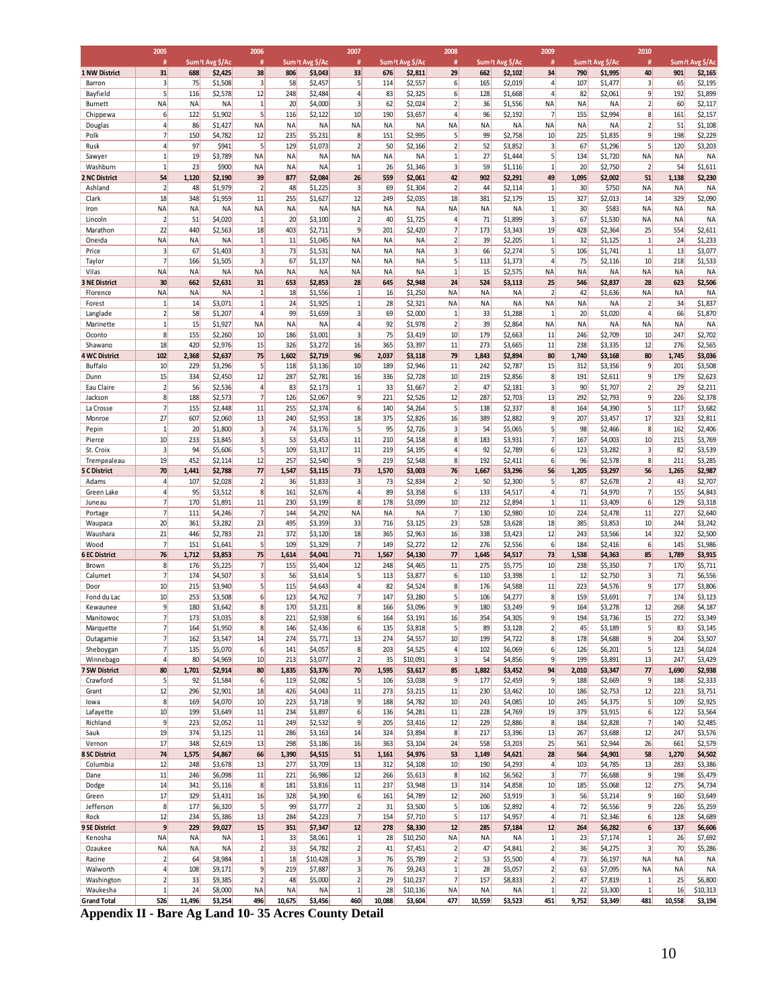|                                | 2005                              |              |                    | 2006                             |                        |                        | 2007                                      |              |                      | 2008                                    |                     |                      | 2009                         |                 |                      | 2010                           |                 |                      |
|--------------------------------|-----------------------------------|--------------|--------------------|----------------------------------|------------------------|------------------------|-------------------------------------------|--------------|----------------------|-----------------------------------------|---------------------|----------------------|------------------------------|-----------------|----------------------|--------------------------------|-----------------|----------------------|
|                                | #                                 |              | Sum/t Avg \$/Ac    | #                                |                        | Sum/t Avg \$/Ac        | #                                         |              | Sum/t Avg \$/Ac      | #                                       |                     | Sum/t Avg \$/Ac      | #                            |                 | Sum/t Avg \$/Ac      | #                              |                 | Sum /t Avg \$/Ac     |
| <b>1 NW District</b>           | 31<br>$\overline{\mathbf{3}}$     | 688<br>75    | \$2,425<br>\$1,508 | 38<br>$\overline{\mathbf{3}}$    | 806<br>58              | \$3,043<br>\$2,457     | 33<br>5 <sup>1</sup>                      | 676<br>114   | \$2,811              | 29<br>6                                 | 662<br>165          | \$2,102<br>\$2,019   | 34<br>4                      | 790<br>107      | \$1,995<br>\$1,477   | 40<br>3                        | 901<br>65       | \$2,165<br>\$2,195   |
| Barron<br>Bayfield             | $\mathsf{S}$                      | 116          | \$2,578            | 12                               | 248                    | \$2,484                | $\frac{4}{ }$                             | 83           | \$2,557<br>\$2,325   | 6                                       | 128                 | \$1,668              | $\overline{a}$               | 82              | \$2,061              | 9                              | 192             | \$1,899              |
| <b>Burnett</b>                 | <b>NA</b>                         | ΝA           | NA                 | 1                                | 20                     | \$4,000                | $\overline{\mathbf{3}}$                   | 62           | \$2,024              | $\overline{2}$                          | 36                  | \$1,556              | NA                           | NA              | <b>NA</b>            | $\overline{2}$                 | 60              | \$2,117              |
| Chippewa                       | $6 \overline{}$                   | 122          | \$1,902            | $\mathsf{S}$                     | 116                    | \$2,122                | 10                                        | 190          | \$3,657              | $\overline{4}$                          | 96                  | \$2,192              | 7                            | 155             | \$2,994              | 8 <sup>1</sup>                 | 161             | \$2,157              |
| Douglas                        | $\overline{4}$                    | 86           | \$1,427            | <b>NA</b>                        | <b>NA</b>              | <b>NA</b>              | <b>NA</b>                                 | <b>NA</b>    | <b>NA</b>            | <b>NA</b>                               | <b>NA</b>           | <b>NA</b>            | <b>NA</b>                    | NA              | <b>NA</b>            | $\overline{2}$                 | 51              | \$1,108              |
| Polk                           | $\overline{7}$                    | 150          | \$4,782            | 12                               | 235                    | \$5,231                | 8                                         | 151          | \$2,995              | $\overline{5}$                          | 99                  | \$2,758              | 10                           | 225             | \$1,835              | 9                              | 198             | \$2,229              |
| Rusk                           | $\overline{4}$<br>$\mathbf{1}$    | 97           | \$941              | $\mathsf{S}$                     | 129                    | \$1,073                | $\overline{2}$                            | 50           | \$2,166              | $\overline{2}$                          | 52                  | \$3,852              | $\overline{\mathbf{3}}$<br>5 | 67<br>134       | \$1,296              | 5 <sup>1</sup>                 | 120             | \$3,203              |
| Sawyer<br>Washburn             | $1\overline{ }$                   | 19<br>23     | \$3,789<br>\$900   | ΝA<br>ΝA                         | <b>NA</b><br><b>NA</b> | <b>NA</b><br><b>NA</b> | <b>NA</b><br>$\mathbf{1}$                 | NA<br>26     | <b>NA</b><br>\$1,346 | $\mathbf{1}$<br>$\overline{\mathbf{3}}$ | 27<br>59            | \$1,444<br>\$1,116   | $\mathbf{1}$                 | 20              | \$1,720<br>\$2,750   | NA<br>$\overline{2}$           | <b>NA</b><br>54 | <b>NA</b><br>\$1,611 |
| 2 NC District                  | 54                                | 1,120        | \$2,190            | 39                               | 877                    | \$2,084                | 26                                        | 559          | \$2,061              | 42                                      | 902                 | \$2,291              | 49                           | 1,095           | \$2,002              | 51                             | 1,138           | \$2,230              |
| Ashland                        | $\overline{2}$                    | 48           | \$1,979            | $\overline{2}$                   | 48                     | \$1,225                | $\overline{\mathbf{3}}$                   | 69           | \$1,304              | $\overline{2}$                          | 44                  | \$2,114              | $\mathbf{1}$                 | 30              | \$750                | NA                             | NA              | <b>NA</b>            |
| Clark                          | 18                                | 348          | \$1,959            | 11                               | 255                    | \$1,627                | 12                                        | 249          | \$2,035              | 18                                      | 381                 | \$2,179              | 15                           | 327             | \$2,013              | 14                             | 329             | \$2,090              |
| Iron                           | <b>NA</b>                         | NA           | NA                 | <b>NA</b>                        | <b>NA</b>              | <b>NA</b>              | <b>NA</b>                                 | <b>NA</b>    | NA                   | <b>NA</b>                               | <b>NA</b>           | NA                   | $\mathbf{1}$                 | 30              | \$583                | <b>NA</b>                      | NA              | <b>NA</b>            |
| Lincoln                        | $\overline{2}$                    | 51           | \$4,020            | $\mathbf{1}$                     | 20                     | \$3,100                | $\overline{2}$                            | 40           | \$1,725              | $\overline{4}$                          | 71                  | \$1,899              | $\overline{3}$               | 67              | \$1,530              | <b>NA</b>                      | <b>NA</b>       | <b>NA</b>            |
| Marathon<br>Oneida             | 22<br><b>NA</b>                   | 440<br>NA    | \$2,563<br>NA      | 18<br>$\mathbf{1}$               | 403<br>11              | \$2,711<br>\$1,045     | $\overline{9}$<br>NA                      | 201<br>NA    | \$2,420<br>NA        | 7<br>$\overline{2}$                     | 173<br>39           | \$3,343<br>\$2,205   | 19<br>$\mathbf{1}$           | 428<br>32       | \$2,364<br>\$1,125   | 25<br>$1\overline{ }$          | 554<br>24       | \$2,611<br>\$1,233   |
| Price                          | $\overline{\mathbf{3}}$           | 67           | \$1,403            | $\overline{3}$                   | 73                     | \$1,531                | <b>NA</b>                                 | <b>NA</b>    | <b>NA</b>            | $\overline{\mathbf{3}}$                 | 66                  | \$2,274              | $\mathbf{5}$                 | 106             | \$1,741              | $\mathbf{1}$                   | 13              | \$3,077              |
| Taylor                         | $\overline{7}$                    | 166          | \$1,505            | $\overline{3}$                   | 67                     | \$1,137                | NA                                        | NA           | NA                   | 5                                       | 113                 | \$1,373              | $\overline{a}$               | 75              | \$2,116              | 10                             | 218             | \$1,533              |
| Vilas                          | <b>NA</b>                         | <b>NA</b>    | ΝA                 | <b>NA</b>                        | <b>NA</b>              | <b>NA</b>              | <b>NA</b>                                 | <b>NA</b>    | <b>NA</b>            | $\mathbf{1}$                            | 15                  | \$2,575              | NA                           | <b>NA</b>       | <b>NA</b>            | <b>NA</b>                      | NA              | <b>NA</b>            |
| <b>3 NE District</b>           | 30                                | 662          | \$2,631            | 31                               | 653                    | \$2,853                | 28                                        | 645          | \$2,948              | 24                                      | 524                 | \$3,113              | 25                           | 546             | \$2,837              | 28                             | 623             | \$2,506              |
| Florence                       | <b>NA</b>                         | NA           | NA                 | 1                                | 18                     | \$1,556                | $1\overline{ }$                           | 16           | \$1,250              | <b>NA</b>                               | <b>NA</b>           | NA                   | $\overline{2}$               | 42              | \$1,636              | <b>NA</b>                      | NA              | <b>NA</b>            |
| Forest                         | $\mathbf{1}$                      | 14           | \$3,071            | $\mathbf{1}$                     | 24                     | \$1,925                | $1\overline{ }$                           | 28           | \$2,321              | <b>NA</b>                               | <b>NA</b>           | <b>NA</b>            | NA                           | NA              | <b>NA</b>            | 2                              | 34              | \$1,837              |
| Langlade<br>Marinette          | $\overline{2}$<br>$1\overline{ }$ | 58<br>15     | \$1,207<br>\$1,927 | $\overline{4}$<br>ΝA             | 99<br>NA               | \$1,659<br><b>NA</b>   | $\overline{\mathbf{3}}$<br>$\overline{4}$ | 69<br>92     | \$2,000<br>\$1,978   | $\mathbf{1}$<br>$\overline{2}$          | 33<br>39            | \$1,288<br>\$2,864   | $\mathbf{1}$<br>NA           | 20<br><b>NA</b> | \$1,020<br><b>NA</b> | $\overline{4}$<br><b>NA</b>    | 66<br><b>NA</b> | \$1,870<br><b>NA</b> |
| Oconto                         | 8                                 | 155          | \$2,260            | 10                               | 186                    | \$3,001                | $\overline{\mathbf{3}}$                   | 75           | \$3,419              | 10                                      | 179                 | \$2,663              | 11                           | 246             | \$2,709              | 10                             | 247             | \$2,702              |
| Shawano                        | 18                                | 420          | \$2,976            | 15                               | 326                    | \$3,272                | 16                                        | 365          | \$3,397              | 11                                      | 273                 | \$3,665              | 11                           | 238             | \$3,335              | 12                             | 276             | \$2,565              |
| <b>4 WC District</b>           | 102                               | 2,368        | \$2,637            | 75                               | 1,602                  | \$2,719                | 96                                        | 2,037        | \$3,118              | 79                                      | 1,843               | \$2,894              | 80                           | 1,740           | \$3,168              | 80                             | 1,745           | \$3,036              |
| Buffalo                        | 10                                | 229          | \$3,296            | $\mathsf{S}$                     | 118                    | \$3,136                | 10                                        | 189          | \$2,946              | 11                                      | 242                 | \$2,787              | 15                           | 312             | \$3,356              | 9                              | 201             | \$3,508              |
| Dunn                           | 15                                | 334          | \$2,450            | 12                               | 287                    | \$2,781                | 16                                        | 336          | \$2,728              | 10                                      | 219                 | \$2,856              | 8                            | 191             | \$2,611              | 9                              | 179             | \$2,623              |
| Eau Claire                     | $\overline{2}$                    | 56           | \$2,536            | $\vert$                          | 83                     | \$2,173                | $\mathbf{1}$                              | 33           | \$1,667              | 2                                       | 47                  | \$2,181              | $\overline{3}$               | 90              | \$1,707              | $\overline{2}$                 | 29              | \$2,211              |
| Jackson<br>La Crosse           | 8<br>$\overline{7}$               | 188<br>155   | \$2,573<br>\$2,448 | $\overline{7}$<br>11             | 126<br>255             | \$2,067                | $\overline{9}$<br>6                       | 221<br>140   | \$2,526              | 12<br>5 <sup>1</sup>                    | 287<br>138          | \$2,703              | 13<br>8                      | 292<br>164      | \$2,793              | $\overline{9}$<br>$\mathsf{S}$ | 226<br>117      | \$2,378              |
| Monroe                         | 27                                | 607          | \$2,060            | 13                               | 240                    | \$2,374<br>\$2,953     | 18                                        | 375          | \$4,264<br>\$2,826   | 16                                      | 389                 | \$2,337<br>\$2,882   | 9                            | 207             | \$4,390<br>\$3,457   | 17                             | 323             | \$3,682<br>\$2,811   |
| Pepin                          | $1\overline{ }$                   | 20           | \$1,800            | $\overline{\mathbf{3}}$          | 74                     | \$3,176                | $\mathsf{S}$                              | 95           | \$2,726              | $\overline{\mathbf{3}}$                 | 54                  | \$5,065              | $5\overline{)}$              | 98              | \$2,466              | 8                              | 162             | \$2,406              |
| Pierce                         | 10                                | 233          | \$3,845            | $\overline{\mathbf{3}}$          | 53                     | \$3,453                | 11                                        | 210          | \$4,158              | 8                                       | 183                 | \$3,931              | $\overline{7}$               | 167             | \$4,003              | 10                             | 215             | \$3,769              |
| St. Croix                      | $\overline{\mathbf{3}}$           | 94           | \$5,606            | $\mathsf{S}$                     | 109                    | \$3,317                | 11                                        | 219          | \$4,195              | $\overline{4}$                          | 92                  | \$2,789              | 6                            | 123             | \$3,282              | 3                              | 82              | \$3,539              |
| Trempealeau                    | 19                                | 452          | \$2,114            | 12                               | 257                    | \$2,540                | $\overline{9}$                            | 219          | \$2,548              | 8                                       | 192                 | \$2,411              | 6                            | 96              | \$2,578              | 8 <sup>1</sup>                 | 211             | \$3,285              |
| <b>5 C District</b>            | 70                                | 1,441        | \$2,788            | 77                               | 1,547                  | \$3,115                | 73                                        | 1,570        | \$3,003              | 76                                      | 1,667               | \$3,296              | 56                           | 1,205           | \$3,297              | 56                             | 1,265           | \$2,987              |
| Adams<br>Green Lake            | $\vert 4 \vert$<br>$\overline{4}$ | 107<br>95    | \$2,028<br>\$3,512 | $\overline{2}$<br>8 <sup>1</sup> | 36<br>161              | \$1,833<br>\$2,676     | 3<br>$\overline{4}$                       | 73<br>89     | \$2,834<br>\$3,358   | $\overline{2}$<br>6                     | 50<br>133           | \$2,300<br>\$4,517   | $\mathbf{5}$<br>4            | 87<br>71        | \$2,678<br>\$4,970   | 2<br>$\overline{7}$            | 43<br>155       | \$2,707<br>\$4,843   |
| Juneau                         | $\overline{7}$                    | 170          | \$1,891            | 11                               | 230                    | \$3,199                | 8                                         | 178          | \$3,099              | 10                                      | 212                 | \$2,894              | $\mathbf{1}$                 | 11              | \$3,409              | 6 <sup>1</sup>                 | 129             | \$3,318              |
| Portage                        | $\overline{7}$                    | 111          | \$4,246            | 7                                | 144                    | \$4,292                | <b>NA</b>                                 | <b>NA</b>    | NA                   | 7                                       | 130                 | \$2,980              | 10                           | 224             | \$2,478              | 11                             | 227             | \$2,640              |
| Waupaca                        | 20                                | 361          | \$3,282            | 23                               | 495                    | \$3,359                | 33                                        | 716          | \$3,125              | 23                                      | 528                 | \$3,628              | 18                           | 385             | \$3,853              | 10                             | 244             | \$3,242              |
| Waushara                       | 21                                | 446          | \$2,783            | 21                               | 372                    | \$3,120                | 18                                        | 365          | \$2,963              | 16                                      | 338                 | \$3,423              | 12                           | 243             | \$3,566              | 14                             | 322             | \$2,500              |
| Wood                           | $\overline{7}$                    | 151          | \$1,641            | $\overline{5}$                   | 109                    | \$1,329                | $\overline{7}$                            | 149          | \$2,272              | 12                                      | 276                 | \$2,556              | 6                            | 184             | \$2,416              | 6                              | 145             | \$1,986              |
| <b>6 EC District</b><br>Brown  | 76<br>8                           | 1,712<br>176 | \$3,853<br>\$5,225 | 75<br>7                          | 1,614<br>155           | \$4,041<br>\$5,404     | 71<br>12                                  | 1,567<br>248 | \$4,130<br>\$4,465   | 77<br>11                                | 1,645<br>275        | \$4,517<br>\$5,775   | 73<br>10                     | 1,538<br>238    | \$4,363              | 85<br>7                        | 1,789<br>170    | \$3,915<br>\$5,711   |
| Calumet                        | $\overline{7}$                    | 174          | \$4,507            | $\overline{\mathbf{3}}$          | 56                     | \$3,614                | $\mathsf{S}$                              | 113          | \$3,877              | 6                                       | 110                 | \$3,398              | $\mathbf{1}$                 | 12              | \$5,350<br>\$2,750   | $\overline{3}$                 | 71              | \$6,556              |
| Door                           | 10                                | 215          | \$3,940            | 5 <sup>1</sup>                   | 115                    | \$4,643                | $\overline{4}$                            | 82           | \$4,524              | 8                                       | 176                 | \$4,588              | 11                           | 223             | \$4,576              | 9                              | 177             | \$3,806              |
| Fond du Lac                    | 10                                | 253          | \$3,508            | $6 \mid$                         | 123                    | \$4,762                | $\overline{7}$                            | 147          | \$3,280              | 5 <sup>1</sup>                          | 106                 | \$4,277              | 8                            | 159             | \$3,691              | 7                              | 174             | \$3,123              |
| Kewaunee                       | $\overline{9}$                    | 180          | \$3,642            | 8                                | 170                    | \$3,231                | 8                                         | 166          | \$3,096              | 9                                       | 180                 | \$3,249              | 9                            | 164             | \$3,278              | 12                             | 268             | \$4,187              |
| Manitowoc                      | $\overline{7}$                    | 173          | \$3,035            | 8 <sup>2</sup>                   | 221                    | \$2,938                | $6 \overline{}$                           | 164          | \$3,191              | 16                                      | 354                 | \$4,305              | 9                            | 194             | \$3,736              | 15                             | 272             | \$3,349              |
| Marquette                      | $\overline{7}$                    | 164          | \$1,950            | 8 <sup>1</sup>                   | 146                    | \$2,436                | $6 \overline{}$                           | 135          | \$3,818              | 5                                       | 89                  | \$3,128              | $\overline{2}$               | 45              | \$3,189              | 5 <sup>1</sup>                 | 83              | \$3,145              |
| Outagamie                      | $\overline{7}$<br>$\overline{7}$  | 162<br>135   | \$3,547            | 14<br>6                          | 274<br>141             | \$5,771<br>\$4,057     | 13<br>8                                   | 274<br>203   | \$4,557              | 10<br>$\overline{4}$                    | 199<br>102          | \$4,722              | 8<br>$6 \overline{}$         | 178<br>126      | \$4,688              | 9<br>5 <sup>1</sup>            | 204<br>123      | \$3,507<br>\$4,024   |
| Sheboygan<br>Winnebago         | $\overline{4}$                    | 80           | \$5,070<br>\$4,969 | 10                               | 213                    | \$3,077                | $\overline{2}$                            | 35           | \$4,525<br>\$10,091  | $\overline{\mathbf{3}}$                 | 54                  | \$6,069<br>\$4,856   | $\overline{9}$               | 199             | \$6,201<br>\$3,891   | 13                             | 247             | \$3,429              |
| <b>7 SW District</b>           | 80                                | 1,701        | \$2,914            | 80                               | 1,835                  | \$3,376                | 70                                        | 1,595        | \$3,617              | 85                                      | 1,882               | \$3,452              | 94                           | 2,010           | \$3,347              | 77                             | 1,690           | \$2,938              |
| Crawford                       | $\mathsf{S}$                      | 92           | \$1,584            | 6                                | 119                    | \$2,082                | 5 <sup>1</sup>                            | 106          | \$3,038              | 9                                       | 177                 | \$2,459              | 9                            | 188             | \$2,669              | 9                              | 188             | \$2,333              |
| Grant                          | 12                                | 296          | \$2,901            | 18                               | 426                    | \$4,043                | 11                                        | 273          | \$3,215              | 11                                      | 230                 | \$3,462              | 10                           | 186             | \$2,753              | 12                             | 223             | \$3,751              |
| lowa                           | 8                                 | 169          | \$4,070            | 10                               | 223                    | \$3,718                | $\overline{9}$                            | 188          | \$4,782              | 10                                      | 243                 | \$4,085              | 10                           | 245             | \$4,375              | $\mathsf{S}$                   | 109             | \$2,925              |
| Lafayette                      | 10                                | 199          | \$3,649            | 11                               | 234                    | \$3,897                | 6                                         | 136          | \$4,281              | 11                                      | 228                 | \$4,769              | 19                           | 379             | \$3,915              | 6                              | 122             | \$3,564              |
| Richland                       | $\overline{9}$<br>19              | 223          | \$2,052            | 11                               | 249                    | \$2,532                | 9 <sup>1</sup>                            | 205          | \$3,416              | 12                                      | 229                 | \$2,886              | 8                            | 184             | \$2,828              | 7                              | 140             | \$2,485              |
| Sauk<br>Vernon                 | 17                                | 374<br>348   | \$3,125<br>\$2,619 | 11<br>13                         | 286<br>298             | \$3,163<br>\$3,186     | 14<br>16                                  | 324<br>363   | \$3,894<br>\$3,104   | 8<br>24                                 | 217<br>558          | \$3,396<br>\$3,203   | 13<br>25                     | 267<br>561      | \$3,688<br>\$2,944   | 12<br>26                       | 247<br>661      | \$3,576<br>\$2,579   |
| <b>8 SC District</b>           | 74                                | 1,575        | \$4,867            | 66                               | 1,390                  | \$4,515                | 51                                        | 1,161        | \$4,976              | 53                                      | 1,149               | \$4,621              | 28                           | 564             | \$4,901              | 58                             | 1,270           | \$4,502              |
| Columbia                       | 12                                | 248          | \$3,678            | 13                               | 277                    | \$3,709                | 13                                        | 312          | \$4,108              | 10                                      | 190                 | \$4,293              | $\overline{4}$               | 103             | \$4,785              | 13                             | 283             | \$3,386              |
| Dane                           | 11                                | 246          | \$6,098            | 11                               | 221                    | \$6,986                | 12                                        | 266          | \$5,613              | 8                                       | 162                 | \$6,562              | 3                            | 77              | \$6,688              | 9                              | 198             | \$5,479              |
| Dodge                          | 14                                | 341          | \$5,116            | 8                                | 181                    | \$3,816                | 11                                        | 237          | \$3,948              | 13                                      | 314                 | \$4,858              | 10                           | 185             | \$5,068              | 12                             | 275             | \$4,734              |
| Green                          | 17                                | 329          | \$3,431            | 16                               | 328                    | \$4,390                | $6 \mid$                                  | 161          | \$4,789              | 12                                      | 260                 | \$3,919              | 3                            | 56              | \$3,214              | 9                              | 160             | \$3,649              |
| Jefferson                      | 8                                 | 177          | \$6,320            | 5                                | 99                     | \$3,777                | $\overline{2}$<br>$\overline{7}$          | 31           | \$3,500              | 5 <sup>1</sup>                          | 106                 | \$2,892              | $\overline{4}$<br>4          | 72              | \$6,556              | 9<br>6                         | 226             | \$5,259              |
| Rock<br>9 SE District          | 12<br>$\overline{9}$              | 234<br>229   | \$5,386<br>\$9,027 | 13<br>15                         | 284<br>351             | \$4,223<br>\$7,347     | 12                                        | 154<br>278   | \$7,710<br>\$8,330   | 5 <sup>1</sup><br>12                    | 117<br>285          | \$4,957<br>\$7,184   | 12                           | 71<br>264       | \$2,346<br>\$6,282   | 6                              | 128<br>137      | \$4,689<br>\$6,606   |
| Kenosha                        | <b>NA</b>                         | NA           | ΝA                 | 1                                | 33                     | \$8,061                | $1\overline{ }$                           | 28           | \$10,250             | NA                                      | NA                  | NA                   | $\mathbf{1}$                 | 23              | \$7,174              | 1                              | 26              | \$7,692              |
| Ozaukee                        | <b>NA</b>                         | NA           | ΝA                 | $\overline{2}$                   | 33                     | \$4,782                | $\overline{2}$                            | 41           | \$7,451              | $\overline{2}$                          | 47                  | \$4,841              | $\overline{2}$               | 36              | \$4,275              | $\overline{\mathbf{3}}$        | 70              | \$5,286              |
| Racine                         | $\overline{2}$                    | 64           | \$8,984            | $1\overline{ }$                  | 18                     | \$10,428               | $\overline{\mathbf{3}}$                   | 76           | \$5,789              | $\overline{2}$                          | 53                  | \$5,500              | 4                            | 73              | \$6,197              | <b>NA</b>                      | NA              | <b>NA</b>            |
| Walworth                       | $\vert 4 \vert$                   | 108          | \$9,171            | $\overline{9}$                   | 219                    | \$7,887                | $\overline{\mathbf{3}}$                   | 76           | \$9,243              | 1                                       | 28                  | \$5,057              | $\overline{2}$               | 63              | \$7,095              | <b>NA</b>                      | NA              | <b>NA</b>            |
|                                |                                   |              |                    |                                  | 48                     | \$5,000                | 2                                         | 29           | \$10,237             | 7                                       | 157                 | \$8,833              | $\overline{2}$               | 47              | \$7,819              | 1                              | 25              | \$6,800              |
| Washington                     | $\overline{2}$                    | 33           | \$9,385            | $\overline{2}$                   |                        |                        |                                           |              |                      |                                         |                     |                      |                              |                 |                      |                                |                 |                      |
| Waukesha<br><b>Grand Total</b> | $1\overline{ }$<br>526            | 24<br>11,496 | \$8,000<br>\$3,254 | <b>NA</b><br>496                 | <b>NA</b><br>10,675    | <b>NA</b><br>\$3,456   | $1\overline{ }$<br>460                    | 28<br>10,088 | \$10,136<br>\$3,604  | <b>NA</b><br>477                        | <b>NA</b><br>10,559 | <b>NA</b><br>\$3,523 | $\mathbf{1}$<br>451          | 22<br>9,752     | \$3,300<br>\$3,349   | $\mathbf{1}$<br>481            | 16<br>10,558    | \$10,313<br>\$3,194  |